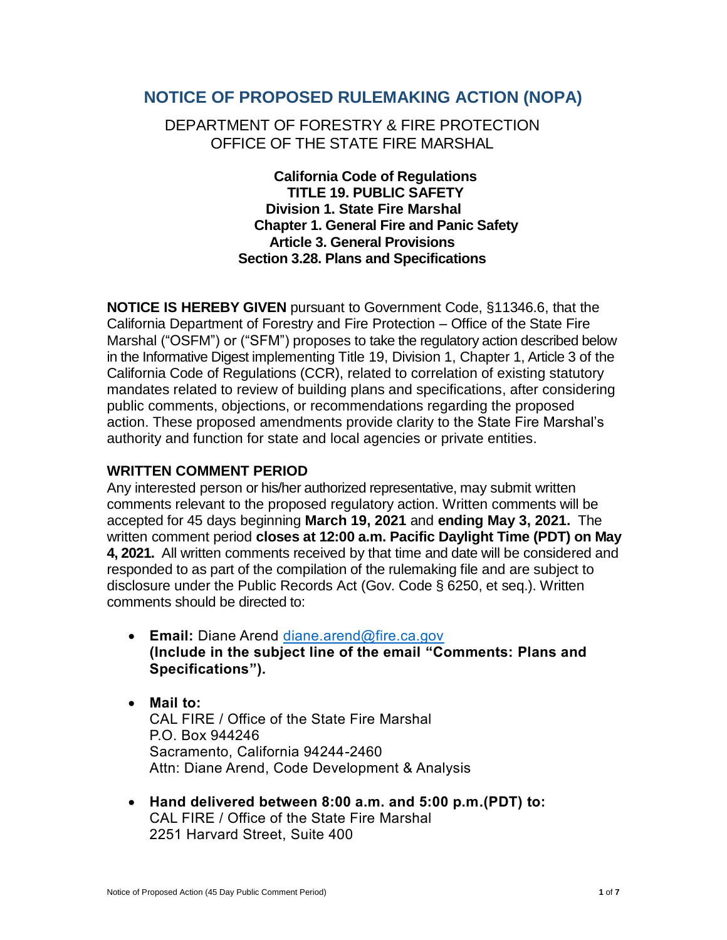# **NOTICE OF PROPOSED RULEMAKING ACTION (NOPA)**

# DEPARTMENT OF FORESTRY & FIRE PROTECTION OFFICE OF THE STATE FIRE MARSHAL

**California Code of Regulations TITLE 19. PUBLIC SAFETY Division 1. State Fire Marshal Chapter 1. General Fire and Panic Safety Article 3. General Provisions Section 3.28. Plans and Specifications**

**NOTICE IS HEREBY GIVEN** pursuant to Government Code, §11346.6, that the California Department of Forestry and Fire Protection – Office of the State Fire Marshal ("OSFM") or ("SFM") proposes to take the regulatory action described below in the Informative Digest implementing Title 19, Division 1, Chapter 1, Article 3 of the California Code of Regulations (CCR), related to correlation of existing statutory mandates related to review of building plans and specifications, after considering public comments, objections, or recommendations regarding the proposed action. These proposed amendments provide clarity to the State Fire Marshal's authority and function for state and local agencies or private entities.

#### **WRITTEN COMMENT PERIOD**

Any interested person or his/her authorized representative, may submit written comments relevant to the proposed regulatory action. Written comments will be accepted for 45 days beginning **March 19, 2021** and **ending May 3, 2021.** The written comment period **closes at 12:00 a.m. Pacific Daylight Time (PDT) on May 4, 2021.** All written comments received by that time and date will be considered and responded to as part of the compilation of the rulemaking file and are subject to disclosure under the Public Records Act (Gov. Code § 6250, et seq.). Written comments should be directed to:

- **Email:** Diane Arend [diane.arend@fire.ca.gov](mailto:diane.arend@fire.ca.gov) **(Include in the subject line of the email "Comments: Plans and Specifications").**
- **Mail to:** CAL FIRE / Office of the State Fire Marshal P.O. Box 944246 Sacramento, California 94244-2460 Attn: Diane Arend, Code Development & Analysis
- **Hand delivered between 8:00 a.m. and 5:00 p.m.(PDT) to:** CAL FIRE / Office of the State Fire Marshal 2251 Harvard Street, Suite 400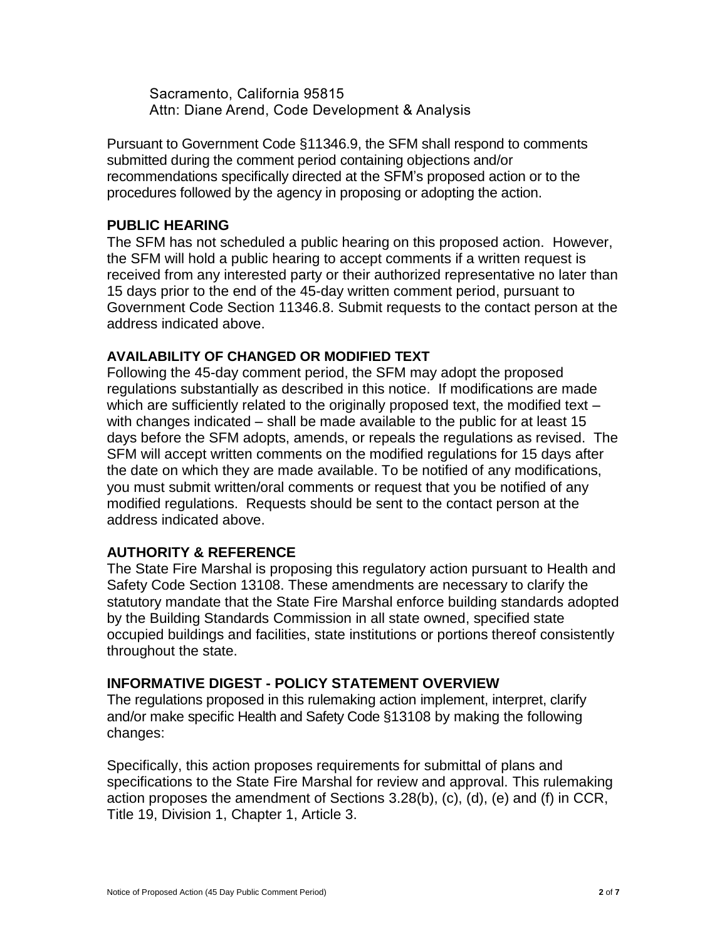Sacramento, California 95815 Attn: Diane Arend, Code Development & Analysis

Pursuant to Government Code §11346.9, the SFM shall respond to comments submitted during the comment period containing objections and/or recommendations specifically directed at the SFM's proposed action or to the procedures followed by the agency in proposing or adopting the action.

## **PUBLIC HEARING**

The SFM has not scheduled a public hearing on this proposed action. However, the SFM will hold a public hearing to accept comments if a written request is received from any interested party or their authorized representative no later than 15 days prior to the end of the 45-day written comment period, pursuant to Government Code Section 11346.8. Submit requests to the contact person at the address indicated above.

## **AVAILABILITY OF CHANGED OR MODIFIED TEXT**

Following the 45-day comment period, the SFM may adopt the proposed regulations substantially as described in this notice. If modifications are made which are sufficiently related to the originally proposed text, the modified text – with changes indicated – shall be made available to the public for at least 15 days before the SFM adopts, amends, or repeals the regulations as revised. The SFM will accept written comments on the modified regulations for 15 days after the date on which they are made available. To be notified of any modifications, you must submit written/oral comments or request that you be notified of any modified regulations. Requests should be sent to the contact person at the address indicated above.

## **AUTHORITY & REFERENCE**

The State Fire Marshal is proposing this regulatory action pursuant to Health and Safety Code Section 13108. These amendments are necessary to clarify the statutory mandate that the State Fire Marshal enforce building standards adopted by the Building Standards Commission in all state owned, specified state occupied buildings and facilities, state institutions or portions thereof consistently throughout the state.

## **INFORMATIVE DIGEST - POLICY STATEMENT OVERVIEW**

The regulations proposed in this rulemaking action implement, interpret, clarify and/or make specific Health and Safety Code §13108 by making the following changes:

Specifically, this action proposes requirements for submittal of plans and specifications to the State Fire Marshal for review and approval. This rulemaking action proposes the amendment of Sections 3.28(b), (c), (d), (e) and (f) in CCR, Title 19, Division 1, Chapter 1, Article 3.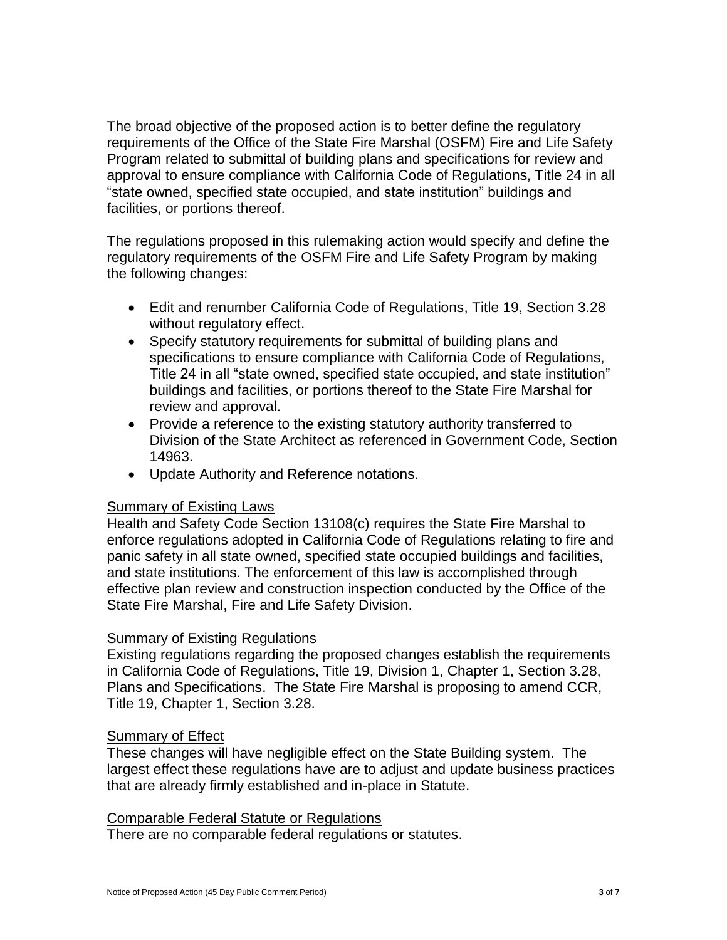The broad objective of the proposed action is to better define the regulatory requirements of the Office of the State Fire Marshal (OSFM) Fire and Life Safety Program related to submittal of building plans and specifications for review and approval to ensure compliance with California Code of Regulations, Title 24 in all "state owned, specified state occupied, and state institution" buildings and facilities, or portions thereof.

The regulations proposed in this rulemaking action would specify and define the regulatory requirements of the OSFM Fire and Life Safety Program by making the following changes:

- Edit and renumber California Code of Regulations, Title 19, Section 3.28 without regulatory effect.
- Specify statutory requirements for submittal of building plans and specifications to ensure compliance with California Code of Regulations, Title 24 in all "state owned, specified state occupied, and state institution" buildings and facilities, or portions thereof to the State Fire Marshal for review and approval.
- Provide a reference to the existing statutory authority transferred to Division of the State Architect as referenced in Government Code, Section 14963.
- Update Authority and Reference notations.

#### Summary of Existing Laws

Health and Safety Code Section 13108(c) requires the State Fire Marshal to enforce regulations adopted in California Code of Regulations relating to fire and panic safety in all state owned, specified state occupied buildings and facilities, and state institutions. The enforcement of this law is accomplished through effective plan review and construction inspection conducted by the Office of the State Fire Marshal, Fire and Life Safety Division.

## Summary of Existing Regulations

Existing regulations regarding the proposed changes establish the requirements in California Code of Regulations, Title 19, Division 1, Chapter 1, Section 3.28, Plans and Specifications. The State Fire Marshal is proposing to amend CCR, Title 19, Chapter 1, Section 3.28.

## **Summary of Effect**

These changes will have negligible effect on the State Building system. The largest effect these regulations have are to adjust and update business practices that are already firmly established and in-place in Statute.

#### Comparable Federal Statute or Regulations

There are no comparable federal regulations or statutes.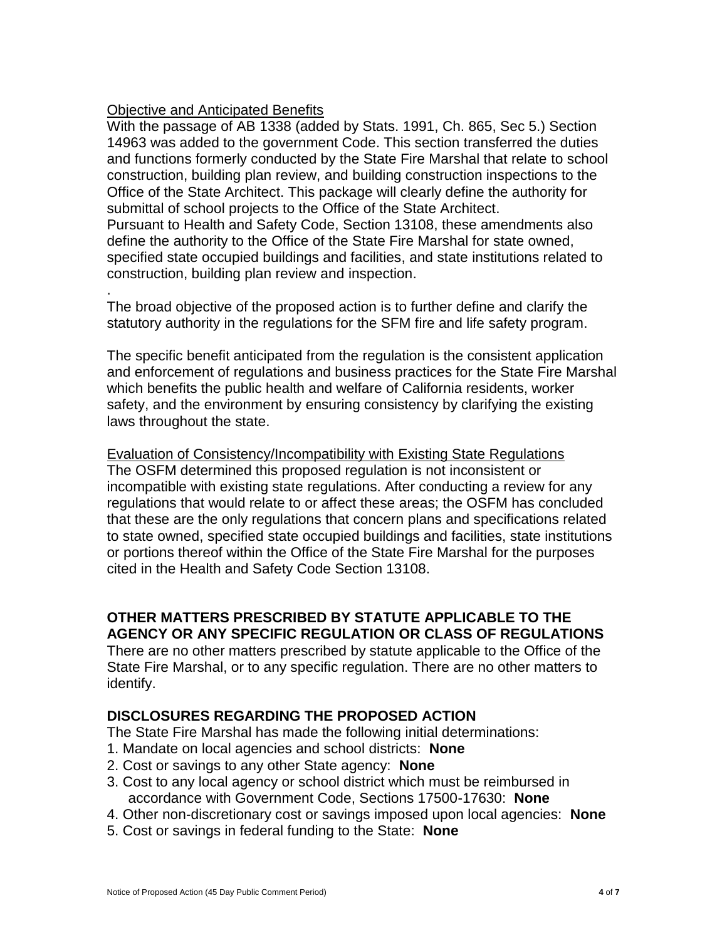### Objective and Anticipated Benefits

.

With the passage of AB 1338 (added by Stats. 1991, Ch. 865, Sec 5.) Section 14963 was added to the government Code. This section transferred the duties and functions formerly conducted by the State Fire Marshal that relate to school construction, building plan review, and building construction inspections to the Office of the State Architect. This package will clearly define the authority for submittal of school projects to the Office of the State Architect. Pursuant to Health and Safety Code, Section 13108, these amendments also define the authority to the Office of the State Fire Marshal for state owned, specified state occupied buildings and facilities, and state institutions related to construction, building plan review and inspection.

The broad objective of the proposed action is to further define and clarify the statutory authority in the regulations for the SFM fire and life safety program.

The specific benefit anticipated from the regulation is the consistent application and enforcement of regulations and business practices for the State Fire Marshal which benefits the public health and welfare of California residents, worker safety, and the environment by ensuring consistency by clarifying the existing laws throughout the state.

Evaluation of Consistency/Incompatibility with Existing State Regulations The OSFM determined this proposed regulation is not inconsistent or incompatible with existing state regulations. After conducting a review for any regulations that would relate to or affect these areas; the OSFM has concluded that these are the only regulations that concern plans and specifications related to state owned, specified state occupied buildings and facilities, state institutions or portions thereof within the Office of the State Fire Marshal for the purposes cited in the Health and Safety Code Section 13108.

# **OTHER MATTERS PRESCRIBED BY STATUTE APPLICABLE TO THE AGENCY OR ANY SPECIFIC REGULATION OR CLASS OF REGULATIONS**

There are no other matters prescribed by statute applicable to the Office of the State Fire Marshal, or to any specific regulation. There are no other matters to identify.

## **DISCLOSURES REGARDING THE PROPOSED ACTION**

The State Fire Marshal has made the following initial determinations:

- 1. Mandate on local agencies and school districts: **None**
- 2. Cost or savings to any other State agency: **None**
- 3. Cost to any local agency or school district which must be reimbursed in accordance with Government Code, Sections 17500-17630: **None**
- 4. Other non-discretionary cost or savings imposed upon local agencies: **None**
- 5. Cost or savings in federal funding to the State: **None**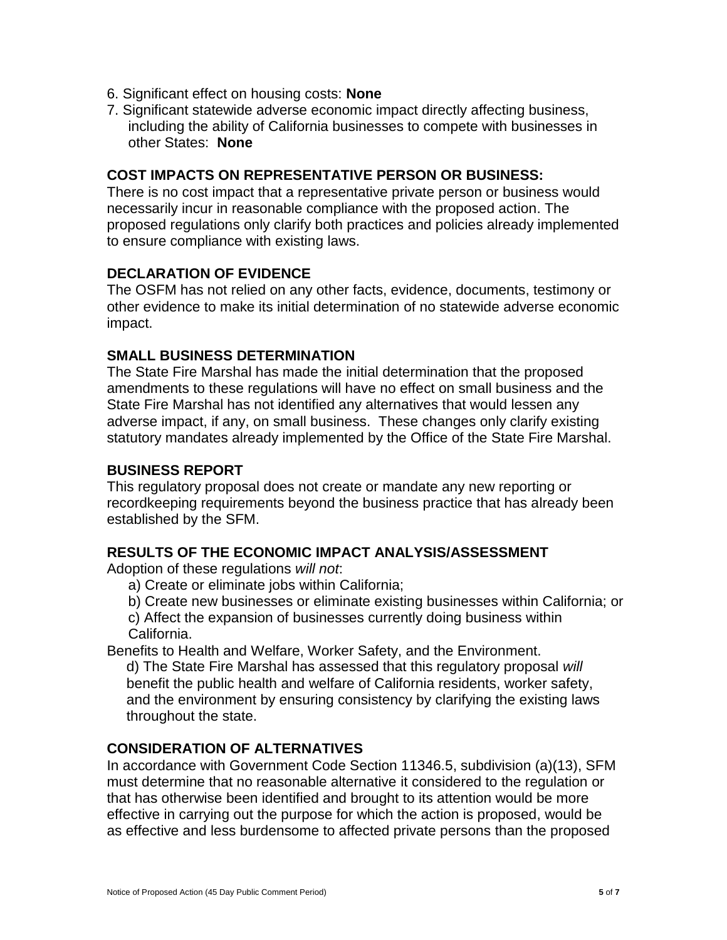- 6. Significant effect on housing costs: **None**
- 7. Significant statewide adverse economic impact directly affecting business, including the ability of California businesses to compete with businesses in other States: **None**

#### **COST IMPACTS ON REPRESENTATIVE PERSON OR BUSINESS:**

There is no cost impact that a representative private person or business would necessarily incur in reasonable compliance with the proposed action. The proposed regulations only clarify both practices and policies already implemented to ensure compliance with existing laws.

## **DECLARATION OF EVIDENCE**

The OSFM has not relied on any other facts, evidence, documents, testimony or other evidence to make its initial determination of no statewide adverse economic impact.

#### **SMALL BUSINESS DETERMINATION**

The State Fire Marshal has made the initial determination that the proposed amendments to these regulations will have no effect on small business and the State Fire Marshal has not identified any alternatives that would lessen any adverse impact, if any, on small business. These changes only clarify existing statutory mandates already implemented by the Office of the State Fire Marshal.

#### **BUSINESS REPORT**

This regulatory proposal does not create or mandate any new reporting or recordkeeping requirements beyond the business practice that has already been established by the SFM.

#### **RESULTS OF THE ECONOMIC IMPACT ANALYSIS/ASSESSMENT**

Adoption of these regulations *will not*:

- a) Create or eliminate jobs within California;
- b) Create new businesses or eliminate existing businesses within California; or

c) Affect the expansion of businesses currently doing business within California.

Benefits to Health and Welfare, Worker Safety, and the Environment.

d) The State Fire Marshal has assessed that this regulatory proposal *will* benefit the public health and welfare of California residents, worker safety, and the environment by ensuring consistency by clarifying the existing laws throughout the state.

## **CONSIDERATION OF ALTERNATIVES**

In accordance with Government Code Section 11346.5, subdivision (a)(13), SFM must determine that no reasonable alternative it considered to the regulation or that has otherwise been identified and brought to its attention would be more effective in carrying out the purpose for which the action is proposed, would be as effective and less burdensome to affected private persons than the proposed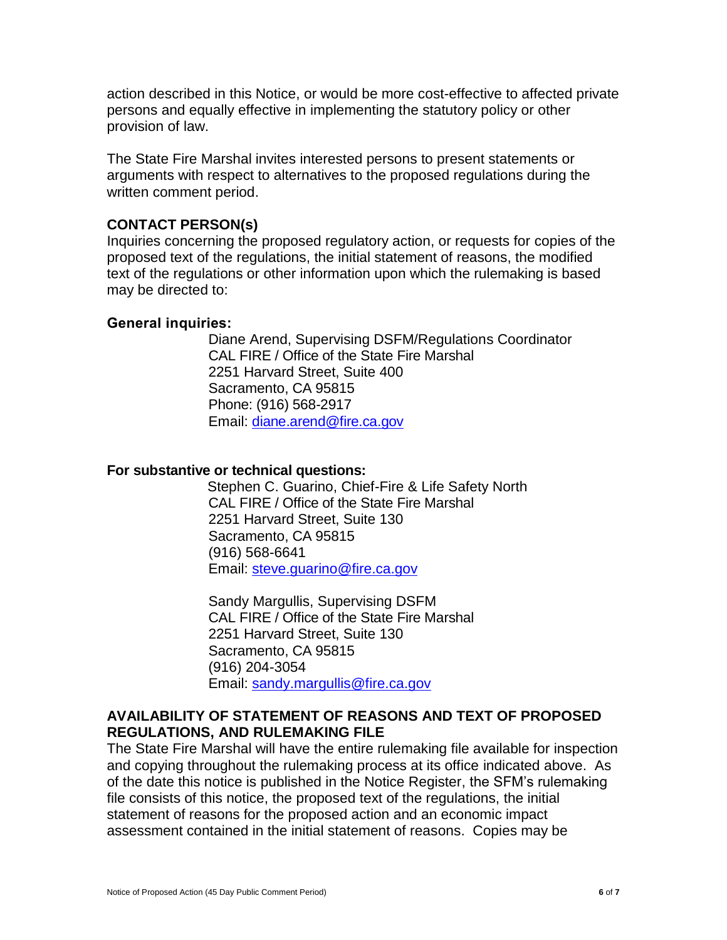action described in this Notice, or would be more cost-effective to affected private persons and equally effective in implementing the statutory policy or other provision of law.

The State Fire Marshal invites interested persons to present statements or arguments with respect to alternatives to the proposed regulations during the written comment period.

## **CONTACT PERSON(s)**

Inquiries concerning the proposed regulatory action, or requests for copies of the proposed text of the regulations, the initial statement of reasons, the modified text of the regulations or other information upon which the rulemaking is based may be directed to:

#### **General inquiries:**

Diane Arend, Supervising DSFM/Regulations Coordinator CAL FIRE / Office of the State Fire Marshal 2251 Harvard Street, Suite 400 Sacramento, CA 95815 Phone: (916) 568-2917 Email: [diane.arend@fire.ca.gov](mailto:diane.arend@fire.ca.gov)

#### **For substantive or technical questions:**

 Stephen C. Guarino, Chief-Fire & Life Safety North CAL FIRE / Office of the State Fire Marshal 2251 Harvard Street, Suite 130 Sacramento, CA 95815 (916) 568-6641 Email: [steve.guarino@fire.ca.gov](mailto:steve.guarino@fire.ca.gov)

Sandy Margullis, Supervising DSFM CAL FIRE / Office of the State Fire Marshal 2251 Harvard Street, Suite 130 Sacramento, CA 95815 (916) 204-3054 Email: [sandy.margullis@fire.ca.gov](mailto:sandy.margullis@fire.ca.gov)

## **AVAILABILITY OF STATEMENT OF REASONS AND TEXT OF PROPOSED REGULATIONS, AND RULEMAKING FILE**

The State Fire Marshal will have the entire rulemaking file available for inspection and copying throughout the rulemaking process at its office indicated above. As of the date this notice is published in the Notice Register, the SFM's rulemaking file consists of this notice, the proposed text of the regulations, the initial statement of reasons for the proposed action and an economic impact assessment contained in the initial statement of reasons. Copies may be